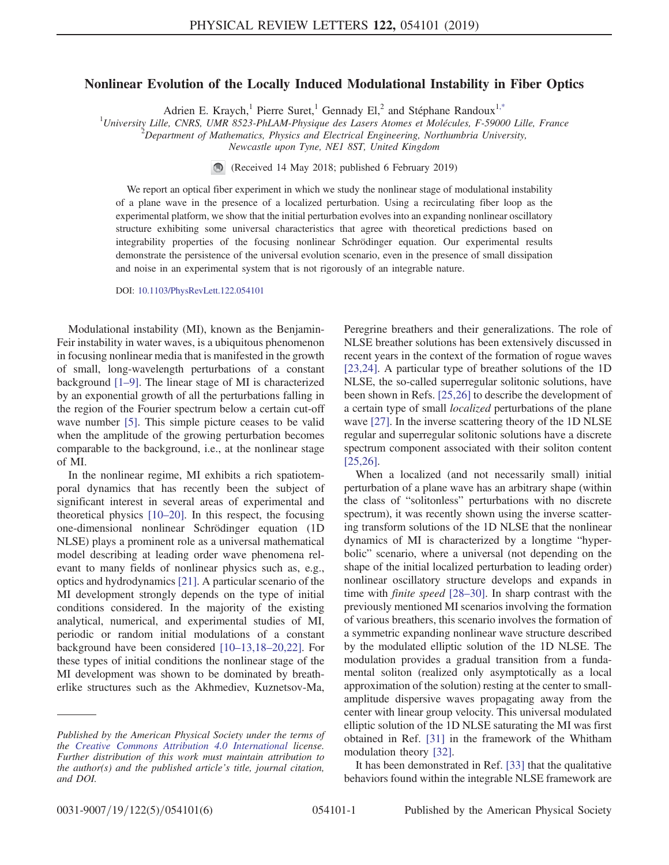## <span id="page-0-0"></span>Nonlinear Evolution of the Locally Induced Modulational Instability in Fiber Optics

Adrien E. Kraych,<sup>1</sup> Pierre Suret,<sup>1</sup> Gennady El,<sup>2</sup> and Stéphane Randoux<sup>[1,\\*](#page-4-0)</sup>

<sup>1</sup>University Lille, CNRS, UMR 8523-PhLAM-Physique des Lasers Atomes et Molécules, F-59000 Lille, France  $\frac{2}{2}$ Pangytmant of Mathematics, Physics and Electrical Engineering, Northumbria University

 $P^2$ Department of Mathematics, Physics and Electrical Engineering, Northumbria University,

Newcastle upon Tyne, NE1 8ST, United Kingdom

(Received 14 May 2018; published 6 February 2019)

We report an optical fiber experiment in which we study the nonlinear stage of modulational instability of a plane wave in the presence of a localized perturbation. Using a recirculating fiber loop as the experimental platform, we show that the initial perturbation evolves into an expanding nonlinear oscillatory structure exhibiting some universal characteristics that agree with theoretical predictions based on integrability properties of the focusing nonlinear Schrödinger equation. Our experimental results demonstrate the persistence of the universal evolution scenario, even in the presence of small dissipation and noise in an experimental system that is not rigorously of an integrable nature.

DOI: [10.1103/PhysRevLett.122.054101](https://doi.org/10.1103/PhysRevLett.122.054101)

Modulational instability (MI), known as the Benjamin-Feir instability in water waves, is a ubiquitous phenomenon in focusing nonlinear media that is manifested in the growth of small, long-wavelength perturbations of a constant background [1–[9\]](#page-4-1). The linear stage of MI is characterized by an exponential growth of all the perturbations falling in the region of the Fourier spectrum below a certain cut-off wave number [\[5\].](#page-4-2) This simple picture ceases to be valid when the amplitude of the growing perturbation becomes comparable to the background, i.e., at the nonlinear stage of MI.

In the nonlinear regime, MI exhibits a rich spatiotemporal dynamics that has recently been the subject of significant interest in several areas of experimental and theoretical physics [10–[20\].](#page-4-3) In this respect, the focusing one-dimensional nonlinear Schrödinger equation (1D NLSE) plays a prominent role as a universal mathematical model describing at leading order wave phenomena relevant to many fields of nonlinear physics such as, e.g., optics and hydrodynamics [\[21\]](#page-4-4). A particular scenario of the MI development strongly depends on the type of initial conditions considered. In the majority of the existing analytical, numerical, and experimental studies of MI, periodic or random initial modulations of a constant background have been considered [10–13,18–[20,22\]](#page-4-3). For these types of initial conditions the nonlinear stage of the MI development was shown to be dominated by breatherlike structures such as the Akhmediev, Kuznetsov-Ma, Peregrine breathers and their generalizations. The role of NLSE breather solutions has been extensively discussed in recent years in the context of the formation of rogue waves [\[23,24\]](#page-4-5). A particular type of breather solutions of the 1D NLSE, the so-called superregular solitonic solutions, have been shown in Refs. [\[25,26\]](#page-4-6) to describe the development of a certain type of small localized perturbations of the plane wave [\[27\].](#page-4-7) In the inverse scattering theory of the 1D NLSE regular and superregular solitonic solutions have a discrete spectrum component associated with their soliton content [\[25,26\]](#page-4-6).

When a localized (and not necessarily small) initial perturbation of a plane wave has an arbitrary shape (within the class of "solitonless" perturbations with no discrete spectrum), it was recently shown using the inverse scattering transform solutions of the 1D NLSE that the nonlinear dynamics of MI is characterized by a longtime "hyperbolic" scenario, where a universal (not depending on the shape of the initial localized perturbation to leading order) nonlinear oscillatory structure develops and expands in time with finite speed [\[28](#page-4-8)–30]. In sharp contrast with the previously mentioned MI scenarios involving the formation of various breathers, this scenario involves the formation of a symmetric expanding nonlinear wave structure described by the modulated elliptic solution of the 1D NLSE. The modulation provides a gradual transition from a fundamental soliton (realized only asymptotically as a local approximation of the solution) resting at the center to smallamplitude dispersive waves propagating away from the center with linear group velocity. This universal modulated elliptic solution of the 1D NLSE saturating the MI was first obtained in Ref. [\[31\]](#page-4-9) in the framework of the Whitham modulation theory [\[32\].](#page-5-0)

It has been demonstrated in Ref. [\[33\]](#page-5-1) that the qualitative behaviors found within the integrable NLSE framework are

Published by the American Physical Society under the terms of the [Creative Commons Attribution 4.0 International](https://creativecommons.org/licenses/by/4.0/) license. Further distribution of this work must maintain attribution to the author(s) and the published article's title, journal citation, and DOI.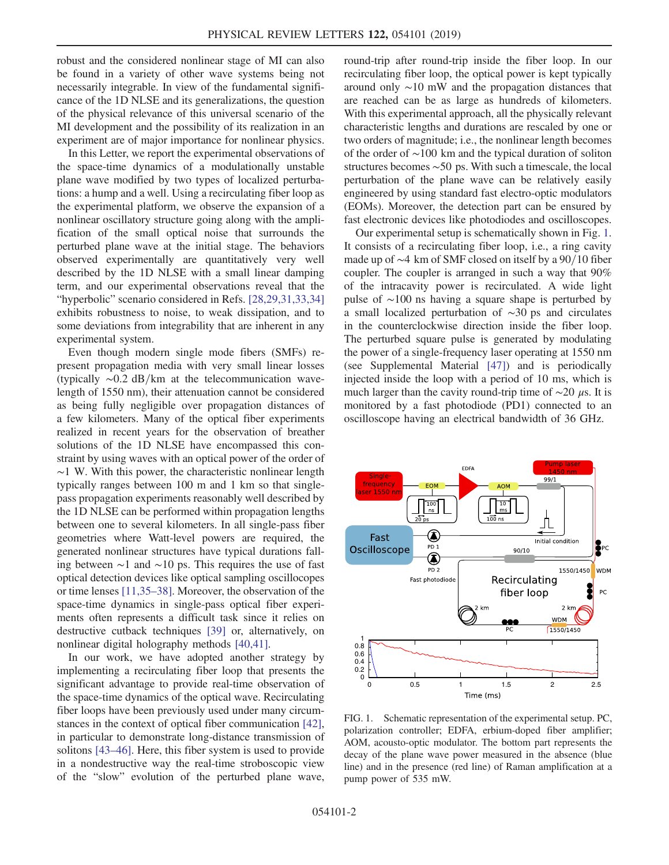robust and the considered nonlinear stage of MI can also be found in a variety of other wave systems being not necessarily integrable. In view of the fundamental significance of the 1D NLSE and its generalizations, the question of the physical relevance of this universal scenario of the MI development and the possibility of its realization in an experiment are of major importance for nonlinear physics.

In this Letter, we report the experimental observations of the space-time dynamics of a modulationally unstable plane wave modified by two types of localized perturbations: a hump and a well. Using a recirculating fiber loop as the experimental platform, we observe the expansion of a nonlinear oscillatory structure going along with the amplification of the small optical noise that surrounds the perturbed plane wave at the initial stage. The behaviors observed experimentally are quantitatively very well described by the 1D NLSE with a small linear damping term, and our experimental observations reveal that the "hyperbolic" scenario considered in Refs. [\[28,29,31,33,34\]](#page-4-8) exhibits robustness to noise, to weak dissipation, and to some deviations from integrability that are inherent in any experimental system.

Even though modern single mode fibers (SMFs) represent propagation media with very small linear losses (typically  $\sim$ 0.2 dB/km at the telecommunication wavelength of 1550 nm), their attenuation cannot be considered as being fully negligible over propagation distances of a few kilometers. Many of the optical fiber experiments realized in recent years for the observation of breather solutions of the 1D NLSE have encompassed this constraint by using waves with an optical power of the order of ∼1 W. With this power, the characteristic nonlinear length typically ranges between 100 m and 1 km so that singlepass propagation experiments reasonably well described by the 1D NLSE can be performed within propagation lengths between one to several kilometers. In all single-pass fiber geometries where Watt-level powers are required, the generated nonlinear structures have typical durations falling between ∼1 and ∼10 ps. This requires the use of fast optical detection devices like optical sampling oscillocopes or time lenses [\[11,35](#page-4-10)–38]. Moreover, the observation of the space-time dynamics in single-pass optical fiber experiments often represents a difficult task since it relies on destructive cutback techniques [\[39\]](#page-5-2) or, alternatively, on nonlinear digital holography methods [\[40,41\]](#page-5-3).

In our work, we have adopted another strategy by implementing a recirculating fiber loop that presents the significant advantage to provide real-time observation of the space-time dynamics of the optical wave. Recirculating fiber loops have been previously used under many circumstances in the context of optical fiber communication [\[42\]](#page-5-4), in particular to demonstrate long-distance transmission of solitons [\[43](#page-5-5)–46]. Here, this fiber system is used to provide in a nondestructive way the real-time stroboscopic view of the "slow" evolution of the perturbed plane wave,

round-trip after round-trip inside the fiber loop. In our recirculating fiber loop, the optical power is kept typically around only ∼10 mW and the propagation distances that are reached can be as large as hundreds of kilometers. With this experimental approach, all the physically relevant characteristic lengths and durations are rescaled by one or two orders of magnitude; i.e., the nonlinear length becomes of the order of ∼100 km and the typical duration of soliton structures becomes ∼50 ps. With such a timescale, the local perturbation of the plane wave can be relatively easily engineered by using standard fast electro-optic modulators (EOMs). Moreover, the detection part can be ensured by fast electronic devices like photodiodes and oscilloscopes.

Our experimental setup is schematically shown in Fig. [1](#page-1-0). It consists of a recirculating fiber loop, i.e., a ring cavity made up of  $\sim$ 4 km of SMF closed on itself by a 90/10 fiber coupler. The coupler is arranged in such a way that 90% of the intracavity power is recirculated. A wide light pulse of ∼100 ns having a square shape is perturbed by a small localized perturbation of ∼30 ps and circulates in the counterclockwise direction inside the fiber loop. The perturbed square pulse is generated by modulating the power of a single-frequency laser operating at 1550 nm (see Supplemental Material [\[47\]](#page-5-6)) and is periodically injected inside the loop with a period of 10 ms, which is much larger than the cavity round-trip time of  $\sim$ 20 μs. It is monitored by a fast photodiode (PD1) connected to an oscilloscope having an electrical bandwidth of 36 GHz.

<span id="page-1-0"></span>

FIG. 1. Schematic representation of the experimental setup. PC, polarization controller; EDFA, erbium-doped fiber amplifier; AOM, acousto-optic modulator. The bottom part represents the decay of the plane wave power measured in the absence (blue line) and in the presence (red line) of Raman amplification at a pump power of 535 mW.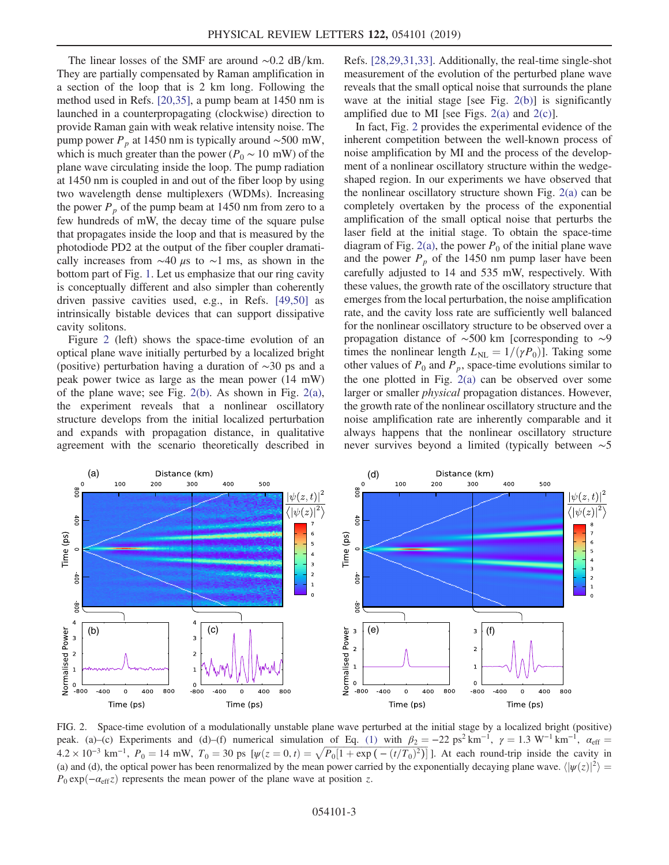The linear losses of the SMF are around  $\sim$ 0.2 dB/km. They are partially compensated by Raman amplification in a section of the loop that is 2 km long. Following the method used in Refs. [\[20,35\]](#page-4-11), a pump beam at 1450 nm is launched in a counterpropagating (clockwise) direction to provide Raman gain with weak relative intensity noise. The pump power  $P_p$  at 1450 nm is typically around ~500 mW, which is much greater than the power ( $P_0 \sim 10$  mW) of the plane wave circulating inside the loop. The pump radiation at 1450 nm is coupled in and out of the fiber loop by using two wavelength dense multiplexers (WDMs). Increasing the power  $P_p$  of the pump beam at 1450 nm from zero to a few hundreds of mW, the decay time of the square pulse that propagates inside the loop and that is measured by the photodiode PD2 at the output of the fiber coupler dramatically increases from  $\sim$ 40 μs to  $\sim$ 1 ms, as shown in the bottom part of Fig. [1](#page-1-0). Let us emphasize that our ring cavity is conceptually different and also simpler than coherently driven passive cavities used, e.g., in Refs. [\[49,50\]](#page-5-7) as intrinsically bistable devices that can support dissipative cavity solitons.

Figure [2](#page-2-0) (left) shows the space-time evolution of an optical plane wave initially perturbed by a localized bright (positive) perturbation having a duration of ∼30 ps and a peak power twice as large as the mean power (14 mW) of the plane wave; see Fig. [2\(b\).](#page-2-0) As shown in Fig. [2\(a\)](#page-2-0), the experiment reveals that a nonlinear oscillatory structure develops from the initial localized perturbation and expands with propagation distance, in qualitative agreement with the scenario theoretically described in Refs. [\[28,29,31,33\]](#page-4-8). Additionally, the real-time single-shot measurement of the evolution of the perturbed plane wave reveals that the small optical noise that surrounds the plane wave at the initial stage [see Fig. [2\(b\)](#page-2-0)] is significantly amplified due to MI [see Figs.  $2(a)$  and  $2(c)$ ].

In fact, Fig. [2](#page-2-0) provides the experimental evidence of the inherent competition between the well-known process of noise amplification by MI and the process of the development of a nonlinear oscillatory structure within the wedgeshaped region. In our experiments we have observed that the nonlinear oscillatory structure shown Fig. [2\(a\)](#page-2-0) can be completely overtaken by the process of the exponential amplification of the small optical noise that perturbs the laser field at the initial stage. To obtain the space-time diagram of Fig. [2\(a\)](#page-2-0), the power  $P_0$  of the initial plane wave and the power  $P_p$  of the 1450 nm pump laser have been carefully adjusted to 14 and 535 mW, respectively. With these values, the growth rate of the oscillatory structure that emerges from the local perturbation, the noise amplification rate, and the cavity loss rate are sufficiently well balanced for the nonlinear oscillatory structure to be observed over a propagation distance of ∼500 km [corresponding to ∼9 times the nonlinear length  $L_{NL} = 1/(\gamma P_0)$ . Taking some other values of  $P_0$  and  $P_p$ , space-time evolutions similar to the one plotted in Fig. [2\(a\)](#page-2-0) can be observed over some larger or smaller physical propagation distances. However, the growth rate of the nonlinear oscillatory structure and the noise amplification rate are inherently comparable and it always happens that the nonlinear oscillatory structure never survives beyond a limited (typically between ∼5

<span id="page-2-0"></span>

FIG. 2. Space-time evolution of a modulationally unstable plane wave perturbed at the initial stage by a localized bright (positive) peak. (a)–(c) Experiments and (d)–(f) numerical simulation of Eq. [\(1\)](#page-3-0) with  $\beta_2 = -22 \text{ ps}^2 \text{ km}^{-1}$ ,  $\gamma = 1.3 \text{ W}^{-1} \text{ km}^{-1}$ ,  $\alpha_{\text{eff}} =$ peak. (a)–(c) Experiments and (d)–(f) numerical simulation of Eq. (1) with  $\beta_2 = -22$  ps<sup>2</sup> km<sup>-1</sup>,  $\gamma = 1.3$  W<sup>-1</sup> km<sup>-1</sup>,  $\alpha_{eff} = 4.2 \times 10^{-3}$  km<sup>-1</sup>,  $P_0 = 14$  mW,  $T_0 = 30$  ps  $[\psi(z = 0, t) = \sqrt{P_0[1 + \exp(- (t/T_0)^2)]}]$ . At eac (a) and (d), the optical power has been renormalized by the mean power carried by the exponentially decaying plane wave.  $\langle |\psi(z)|^2 \rangle$  $P_0 \exp(-\alpha_{\text{eff}}z)$  represents the mean power of the plane wave at position z.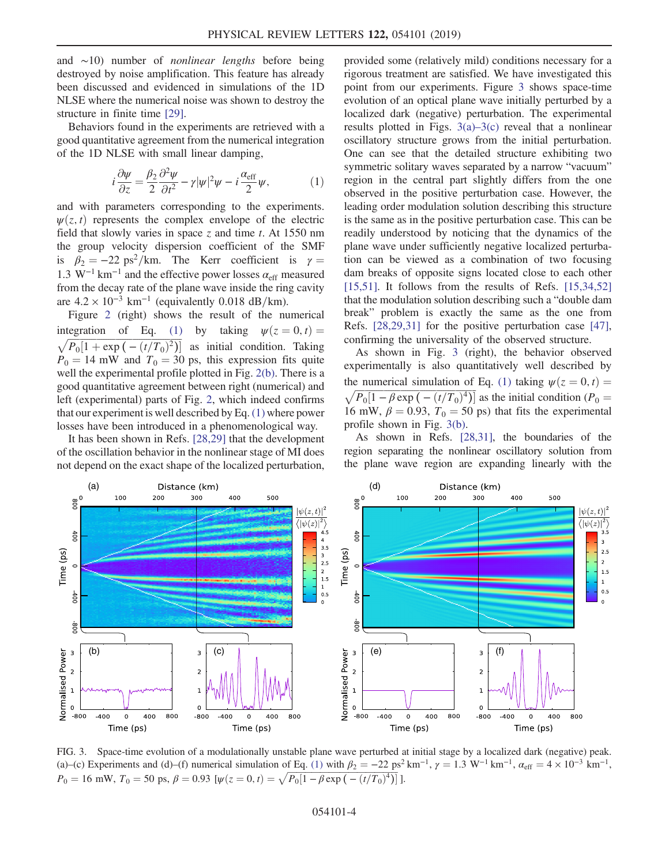and ∼10) number of nonlinear lengths before being destroyed by noise amplification. This feature has already been discussed and evidenced in simulations of the 1D NLSE where the numerical noise was shown to destroy the structure in finite time [\[29\]](#page-4-12).

<span id="page-3-0"></span>Behaviors found in the experiments are retrieved with a good quantitative agreement from the numerical integration of the 1D NLSE with small linear damping,

$$
i\frac{\partial \psi}{\partial z} = \frac{\beta_2}{2} \frac{\partial^2 \psi}{\partial t^2} - \gamma |\psi|^2 \psi - i\frac{\alpha_{\text{eff}}}{2} \psi,\tag{1}
$$

and with parameters corresponding to the experiments.  $\psi(z, t)$  represents the complex envelope of the electric field that slowly varies in space z and time t. At  $1550 \text{ nm}$ the group velocity dispersion coefficient of the SMF is  $\beta_2 = -22 \text{ ps}^2/\text{km}$ . The Kerr coefficient is  $\gamma =$ 1.3 W<sup>-1</sup> km<sup>-1</sup> and the effective power losses  $\alpha_{\text{eff}}$  measured from the decay rate of the plane wave inside the ring cavity are  $4.2 \times 10^{-3}$  km<sup>-1</sup> (equivalently 0.018 dB/km).

Figure [2](#page-2-0) (right) shows the result of the numerical integration of Eq. [\(1\)](#page-3-0) by taking  $\psi(z=0, t)$ integration of Eq. (1) by taking  $\psi(z = 0, t) = \sqrt{P_0[1 + \exp(-(t/T_0)^2)]}$  as initial condition. Taking  $P_0 = 14$  mW and  $T_0 = 30$  ps, this expression fits quite well the experimental profile plotted in Fig. [2\(b\)](#page-2-0). There is a good quantitative agreement between right (numerical) and left (experimental) parts of Fig. [2](#page-2-0), which indeed confirms that our experiment is well described by Eq. [\(1\)](#page-3-0) where power losses have been introduced in a phenomenological way.

It has been shown in Refs. [\[28,29\]](#page-4-8) that the development of the oscillation behavior in the nonlinear stage of MI does not depend on the exact shape of the localized perturbation, provided some (relatively mild) conditions necessary for a rigorous treatment are satisfied. We have investigated this point from our experiments. Figure [3](#page-3-1) shows space-time evolution of an optical plane wave initially perturbed by a localized dark (negative) perturbation. The experimental results plotted in Figs.  $3(a)-3(c)$  $3(a)-3(c)$  reveal that a nonlinear oscillatory structure grows from the initial perturbation. One can see that the detailed structure exhibiting two symmetric solitary waves separated by a narrow "vacuum" region in the central part slightly differs from the one observed in the positive perturbation case. However, the leading order modulation solution describing this structure is the same as in the positive perturbation case. This can be readily understood by noticing that the dynamics of the plane wave under sufficiently negative localized perturbation can be viewed as a combination of two focusing dam breaks of opposite signs located close to each other [\[15,51\]](#page-4-13). It follows from the results of Refs.  $[15,34,52]$ ] that the modulation solution describing such a "double dam break" problem is exactly the same as the one from Refs. [\[28,29,31\]](#page-4-8) for the positive perturbation case [\[47\]](#page-5-6), confirming the universality of the observed structure.

As shown in Fig. [3](#page-3-1) (right), the behavior observed experimentally is also quantitatively well described by the numerical simulation of Eq. [\(1\)](#page-3-0) taking  $\psi(z=0, t)$  = the numerical simulation of Eq. (1) taking  $\psi(z = 0, t) = \sqrt{P_0[1 - \beta \exp(-(t/T_0)^4)]}$  as the initial condition ( $P_0 =$ 16 mW,  $\beta = 0.93$ ,  $T_0 = 50$  ps) that fits the experimental profile shown in Fig. [3\(b\).](#page-3-1)

As shown in Refs. [\[28,31\],](#page-4-8) the boundaries of the region separating the nonlinear oscillatory solution from the plane wave region are expanding linearly with the

<span id="page-3-1"></span>

FIG. 3. Space-time evolution of a modulationally unstable plane wave perturbed at initial stage by a localized dark (negative) peak. (a)–(c) Experiments and (d)–(f) numerical simulation of Eq. [\(1\)](#page-3-0) with  $\beta_2 = -22 \text{ ps}^2 \text{ km}^{-1}$ ,  $\gamma = 1.3 \text{ W}^{-1} \text{ km}^{-1}$ ,  $\alpha_{\text{eff}} = 4 \times 10^{-3} \text{ km}^{-1}$ , (a)–(c) Experiments and (d)–(f) numerical simulation of Eq. (1) with  $\beta_2 = -22$  ps<sup>2</sup><br> $P_0 = 16$  mW,  $T_0 = 50$  ps,  $\beta = 0.93$  [ $\psi(z = 0, t) = \sqrt{P_0[1 - \beta \exp(-(t/T_0)^4)]}$ ].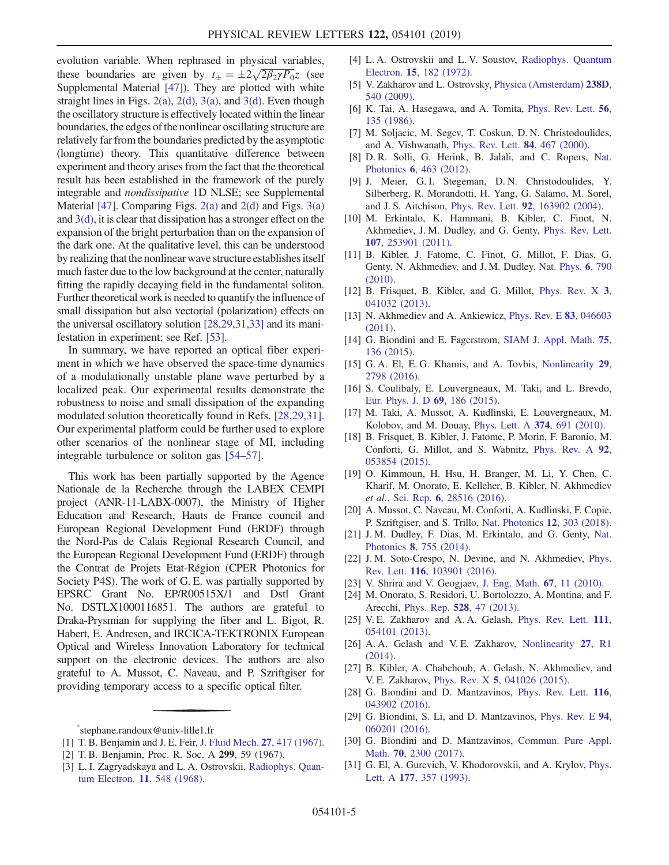evolution variable. When rephrased in physical variables, evolution variable. When rephrased in physical variables,<br>these boundaries are given by  $t_{\pm} = \pm 2\sqrt{2\beta_2\gamma P_0}z$  (see Supplemental Material [\[47\]\)](#page-5-6). They are plotted with white straight lines in Figs. [2\(a\)](#page-2-0), [2\(d\)](#page-2-0), [3\(a\),](#page-3-1) and [3\(d\).](#page-3-1) Even though the oscillatory structure is effectively located within the linear boundaries, the edges of the nonlinear oscillating structure are relatively far from the boundaries predicted by the asymptotic (longtime) theory. This quantitative difference between experiment and theory arises from the fact that the theoretical result has been established in the framework of the purely integrable and nondissipative 1D NLSE; see Supplemental Material [\[47\].](#page-5-6) Comparing Figs.  $2(a)$  and  $2(d)$  and Figs.  $3(a)$ and [3\(d\),](#page-3-1) it is clear that dissipation has a stronger effect on the expansion of the bright perturbation than on the expansion of the dark one. At the qualitative level, this can be understood by realizing that the nonlinear wave structure establishes itself much faster due to the low background at the center, naturally fitting the rapidly decaying field in the fundamental soliton. Further theoretical work is needed to quantify the influence of small dissipation but also vectorial (polarization) effects on the universal oscillatory solution [\[28,29,31,33\]](#page-4-8) and its manifestation in experiment; see Ref. [\[53\]](#page-5-8).

In summary, we have reported an optical fiber experiment in which we have observed the space-time dynamics of a modulationally unstable plane wave perturbed by a localized peak. Our experimental results demonstrate the robustness to noise and small dissipation of the expanding modulated solution theoretically found in Refs. [\[28,29,31\]](#page-4-8). Our experimental platform could be further used to explore other scenarios of the nonlinear stage of MI, including integrable turbulence or soliton gas [\[54](#page-5-9)–57].

This work has been partially supported by the Agence Nationale de la Recherche through the LABEX CEMPI project (ANR-11-LABX-0007), the Ministry of Higher Education and Research, Hauts de France council and European Regional Development Fund (ERDF) through the Nord-Pas de Calais Regional Research Council, and the European Regional Development Fund (ERDF) through the Contrat de Projets Etat-R´egion (CPER Photonics for Society P4S). The work of G. E. was partially supported by EPSRC Grant No. EP/R00515X/1 and Dstl Grant No. DSTLX1000116851. The authors are grateful to Draka-Prysmian for supplying the fiber and L. Bigot, R. Habert, E. Andresen, and IRCICA-TEKTRONIX European Optical and Wireless Innovation Laboratory for technical support on the electronic devices. The authors are also grateful to A. Mussot, C. Naveau, and P. Szriftgiser for providing temporary access to a specific optical filter.

- <span id="page-4-1"></span>[1] T. B. Benjamin and J. E. Feir, [J. Fluid Mech.](https://doi.org/10.1017/S002211206700045X) 27, 417 (1967).
- [2] T. B. Benjamin, Proc. R. Soc. A 299, 59 (1967).
- [3] L. I. Zagryadskaya and L. A. Ostrovskii, [Radiophys. Quan](https://doi.org/10.1007/BF01033372)[tum Electron.](https://doi.org/10.1007/BF01033372) 11, 548 (1968).
- [4] L. A. Ostrovskii and L. V. Soustov, [Radiophys. Quantum](https://doi.org/10.1007/BF02209115) Electron. 15[, 182 \(1972\)](https://doi.org/10.1007/BF02209115).
- <span id="page-4-2"></span>[5] V. Zakharov and L. Ostrovsky, [Physica \(Amsterdam\)](https://doi.org/10.1016/j.physd.2008.12.002) 238D, [540 \(2009\)](https://doi.org/10.1016/j.physd.2008.12.002).
- [6] K. Tai, A. Hasegawa, and A. Tomita, [Phys. Rev. Lett.](https://doi.org/10.1103/PhysRevLett.56.135) 56, [135 \(1986\)](https://doi.org/10.1103/PhysRevLett.56.135).
- [7] M. Soljacic, M. Segev, T. Coskun, D. N. Christodoulides, and A. Vishwanath, [Phys. Rev. Lett.](https://doi.org/10.1103/PhysRevLett.84.467) 84, 467 (2000).
- [8] D. R. Solli, G. Herink, B. Jalali, and C. Ropers, [Nat.](https://doi.org/10.1038/nphoton.2012.126) Photonics 6[, 463 \(2012\)](https://doi.org/10.1038/nphoton.2012.126).
- [9] J. Meier, G. I. Stegeman, D. N. Christodoulides, Y. Silberberg, R. Morandotti, H. Yang, G. Salamo, M. Sorel, and J. S. Aitchison, Phys. Rev. Lett. 92[, 163902 \(2004\)](https://doi.org/10.1103/PhysRevLett.92.163902).
- <span id="page-4-3"></span>[10] M. Erkintalo, K. Hammani, B. Kibler, C. Finot, N. Akhmediev, J. M. Dudley, and G. Genty, [Phys. Rev. Lett.](https://doi.org/10.1103/PhysRevLett.107.253901) 107[, 253901 \(2011\).](https://doi.org/10.1103/PhysRevLett.107.253901)
- <span id="page-4-10"></span>[11] B. Kibler, J. Fatome, C. Finot, G. Millot, F. Dias, G. Genty, N. Akhmediev, and J. M. Dudley, [Nat. Phys.](https://doi.org/10.1038/nphys1740) 6, 790 [\(2010\).](https://doi.org/10.1038/nphys1740)
- [12] B. Frisquet, B. Kibler, and G. Millot, [Phys. Rev. X](https://doi.org/10.1103/PhysRevX.3.041032) 3, [041032 \(2013\).](https://doi.org/10.1103/PhysRevX.3.041032)
- [13] N. Akhmediev and A. Ankiewicz, [Phys. Rev. E](https://doi.org/10.1103/PhysRevE.83.046603) 83, 046603 [\(2011\).](https://doi.org/10.1103/PhysRevE.83.046603)
- [14] G. Biondini and E. Fagerstrom, [SIAM J. Appl. Math.](https://doi.org/10.1137/140965089) **75**, [136 \(2015\)](https://doi.org/10.1137/140965089).
- <span id="page-4-13"></span>[15] G. A. El, E. G. Khamis, and A. Tovbis, [Nonlinearity](https://doi.org/10.1088/0951-7715/29/9/2798) 29, [2798 \(2016\)](https://doi.org/10.1088/0951-7715/29/9/2798).
- [16] S. Coulibaly, E. Louvergneaux, M. Taki, and L. Brevdo, [Eur. Phys. J. D](https://doi.org/10.1140/epjd/e2015-60212-7) 69, 186 (2015).
- [17] M. Taki, A. Mussot, A. Kudlinski, E. Louvergneaux, M. Kolobov, and M. Douay, [Phys. Lett. A](https://doi.org/10.1016/j.physleta.2009.11.058) 374, 691 (2010).
- [18] B. Frisquet, B. Kibler, J. Fatome, P. Morin, F. Baronio, M. Conforti, G. Millot, and S. Wabnitz, [Phys. Rev. A](https://doi.org/10.1103/PhysRevA.92.053854) 92, [053854 \(2015\).](https://doi.org/10.1103/PhysRevA.92.053854)
- [19] O. Kimmoun, H. Hsu, H. Branger, M. Li, Y. Chen, C. Kharif, M. Onorato, E. Kelleher, B. Kibler, N. Akhmediev et al., Sci. Rep. 6[, 28516 \(2016\).](https://doi.org/10.1038/srep28516)
- <span id="page-4-11"></span>[20] A. Mussot, C. Naveau, M. Conforti, A. Kudlinski, F. Copie, P. Szriftgiser, and S. Trillo, [Nat. Photonics](https://doi.org/10.1038/s41566-018-0136-1) 12, 303 (2018).
- <span id="page-4-4"></span>[21] J. M. Dudley, F. Dias, M. Erkintalo, and G. Genty, [Nat.](https://doi.org/10.1038/nphoton.2014.220) Photonics 8[, 755 \(2014\)](https://doi.org/10.1038/nphoton.2014.220).
- [22] J. M. Soto-Crespo, N. Devine, and N. Akhmediev, [Phys.](https://doi.org/10.1103/PhysRevLett.116.103901) Rev. Lett. 116[, 103901 \(2016\).](https://doi.org/10.1103/PhysRevLett.116.103901)
- <span id="page-4-5"></span>[23] V. Shrira and V. Geogjaev, [J. Eng. Math.](https://doi.org/10.1007/s10665-009-9347-2) 67, 11 (2010).
- [24] M. Onorato, S. Residori, U. Bortolozzo, A. Montina, and F. Arecchi, Phys. Rep. 528[, 47 \(2013\)](https://doi.org/10.1016/j.physrep.2013.03.001).
- <span id="page-4-6"></span>[25] V. E. Zakharov and A. A. Gelash, [Phys. Rev. Lett.](https://doi.org/10.1103/PhysRevLett.111.054101) 111, [054101 \(2013\).](https://doi.org/10.1103/PhysRevLett.111.054101)
- [26] A. A. Gelash and V. E. Zakharov, [Nonlinearity](https://doi.org/10.1088/0951-7715/27/4/R1) 27, R1 [\(2014\).](https://doi.org/10.1088/0951-7715/27/4/R1)
- <span id="page-4-8"></span><span id="page-4-7"></span>[27] B. Kibler, A. Chabchoub, A. Gelash, N. Akhmediev, and V. E. Zakharov, Phys. Rev. X 5[, 041026 \(2015\)](https://doi.org/10.1103/PhysRevX.5.041026).
- <span id="page-4-12"></span>[28] G. Biondini and D. Mantzavinos, [Phys. Rev. Lett.](https://doi.org/10.1103/PhysRevLett.116.043902) 116, [043902 \(2016\).](https://doi.org/10.1103/PhysRevLett.116.043902)
- [29] G. Biondini, S. Li, and D. Mantzavinos, [Phys. Rev. E](https://doi.org/10.1103/PhysRevE.94.060201) 94, [060201 \(2016\).](https://doi.org/10.1103/PhysRevE.94.060201)
- <span id="page-4-9"></span>[30] G. Biondini and D. Mantzavinos, [Commun. Pure Appl.](https://doi.org/10.1002/cpa.21701) Math. 70[, 2300 \(2017\)](https://doi.org/10.1002/cpa.21701).
- [31] G. El, A. Gurevich, V. Khodorovskii, and A. Krylov, [Phys.](https://doi.org/10.1016/0375-9601(93)90015-R) Lett. A 177[, 357 \(1993\)](https://doi.org/10.1016/0375-9601(93)90015-R).

<span id="page-4-0"></span>[<sup>\\*</sup>](#page-0-0) stephane.randoux@univ-lille1.fr